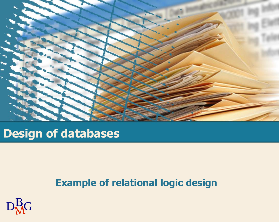

## **Design of databases**

#### **Example of relational logic design**

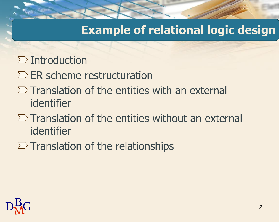### **Example of relational logic design**

- $\sum$  Introduction
- $\Sigma$  ER scheme restructuration
- $\Sigma$  Translation of the entities with an external identifier
- $\Sigma$  Translation of the entities without an external identifier
- $\Sigma$  Translation of the relationships

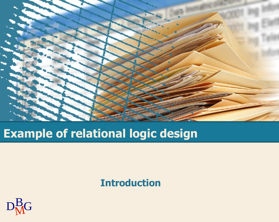

# **Example of relational logic design**

#### **Introduction**

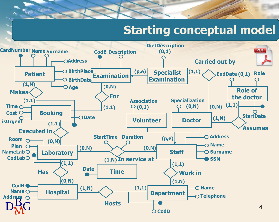## **Starting conceptual model**

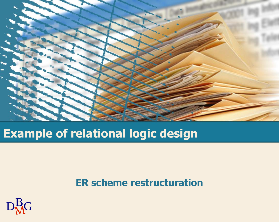

# **Example of relational logic design**

#### **ER scheme restructuration**

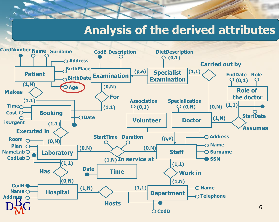#### **Analysis of the derived attributes**

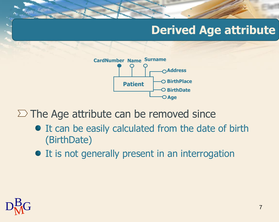## **Derived Age attribute**



 $\Sigma$  The Age attribute can be removed since

- It can be easily calculated from the date of birth (BirthDate)
- It is not generally present in an interrogation

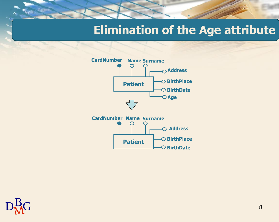### **Elimination of the Age attribute**



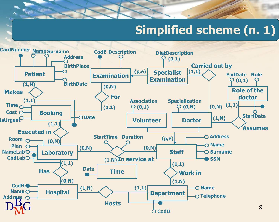# **Simplified scheme (n. 1)**

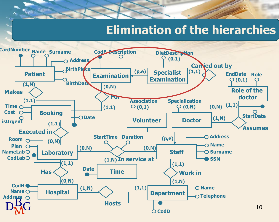### **Elimination of the hierarchies**

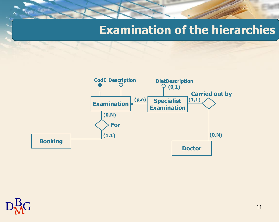#### **Examination of the hierarchies**



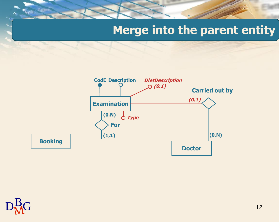## **Merge into the parent entity**



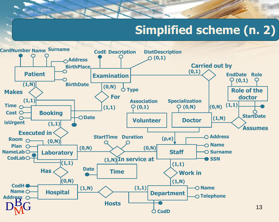# **Simplified scheme (n. 2)**

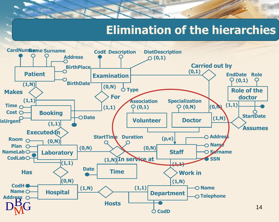#### **Elimination of the hierarchies**

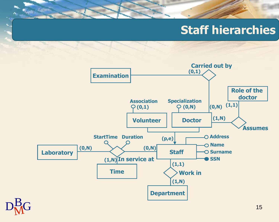## **Staff hierarchies**



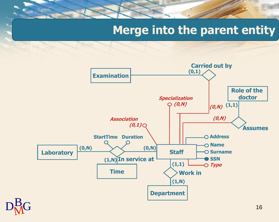### **Merge into the parent entity**

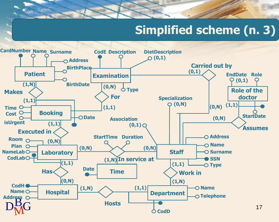# **Simplified scheme (n. 3)**

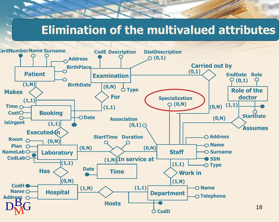### **Elimination of the multivalued attributes**

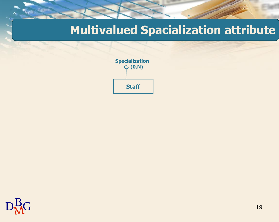### **Multivalued Spacialization attribute**



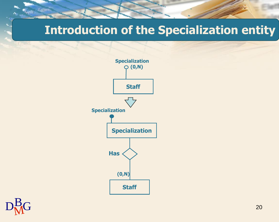#### **Introduction of the Specialization entity**



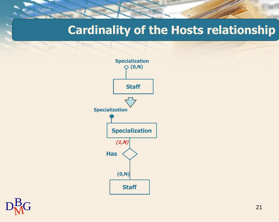#### **Cardinality of the Hosts relationship**



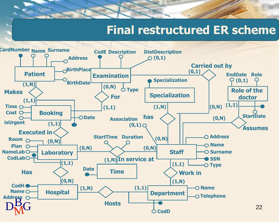#### **Final restructured ER scheme**

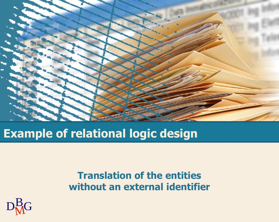

# **Example of relational logic design**

#### **Translation of the entities without an external identifier**

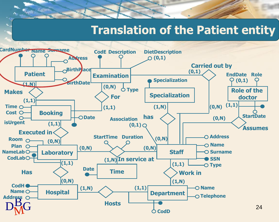#### **Translation of the Patient entity**

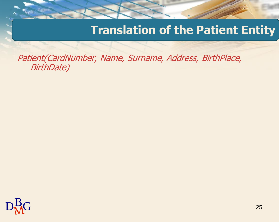#### **Translation of the Patient Entity**

Patient(CardNumber, Name, Surname, Address, BirthPlace, BirthDate)

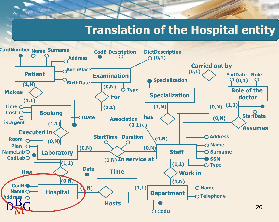#### **Translation of the Hospital entity**

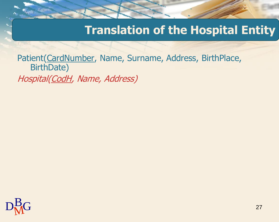### **Translation of the Hospital Entity**

Patient(CardNumber, Name, Surname, Address, BirthPlace, BirthDate) Hospital(CodH, Name, Address)

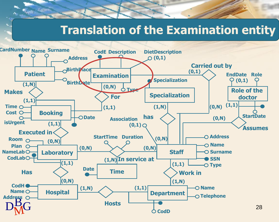#### **Translation of the Examination entity**

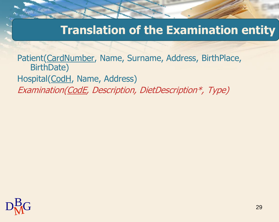### **Translation of the Examination entity**

Patient(CardNumber, Name, Surname, Address, BirthPlace, BirthDate) Hospital(CodH, Name, Address) Examination(CodE, Description, DietDescription\*, Type)

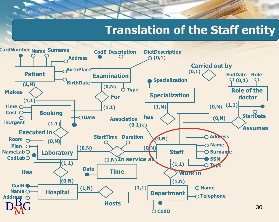#### **Translation of the Staff entity**

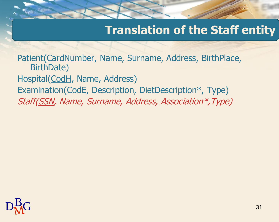### **Translation of the Staff entity**

Patient(CardNumber, Name, Surname, Address, BirthPlace, BirthDate) Hospital(CodH, Name, Address) Examination(CodE, Description, DietDescription\*, Type) Staff(SSN, Name, Surname, Address, Association\*,Type)

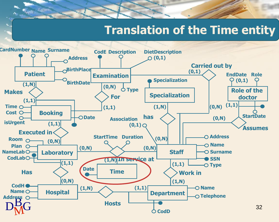#### **Translation of the Time entity**

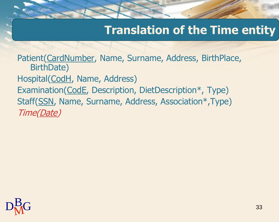### **Translation of the Time entity**

Patient(CardNumber, Name, Surname, Address, BirthPlace, BirthDate) Hospital(CodH, Name, Address) Examination(CodE, Description, DietDescription\*, Type) Staff(SSN, Name, Surname, Address, Association\*,Type) Time(Date)

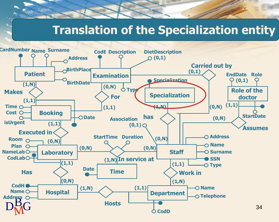#### **Translation of the Specialization entity**

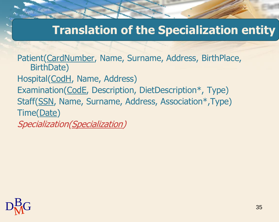### **Translation of the Specialization entity**

Patient(CardNumber, Name, Surname, Address, BirthPlace, BirthDate) Hospital(CodH, Name, Address) Examination(CodE, Description, DietDescription\*, Type) Staff(SSN, Name, Surname, Address, Association\*,Type) Time(Date) Specialization(Specialization)

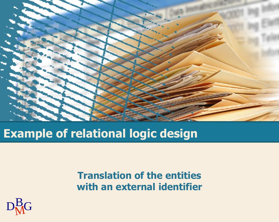

# **Example of relational logic design**

**Translation of the entities with an external identifier**

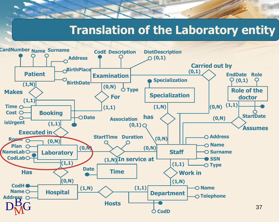#### **Translation of the Laboratory entity**

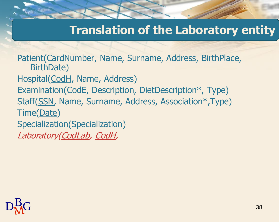### **Translation of the Laboratory entity**

Patient(CardNumber, Name, Surname, Address, BirthPlace, BirthDate) Hospital(CodH, Name, Address) Examination(CodE, Description, DietDescription\*, Type) Staff(SSN, Name, Surname, Address, Association\*,Type) Time(Date) Specialization(Specialization) Laboratory(CodLab, CodH,

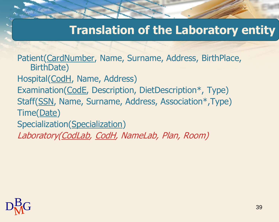### **Translation of the Laboratory entity**

Patient(CardNumber, Name, Surname, Address, BirthPlace, BirthDate) Hospital(CodH, Name, Address) Examination(CodE, Description, DietDescription\*, Type) Staff(SSN, Name, Surname, Address, Association\*,Type) Time(Date) Specialization(Specialization) Laboratory(CodLab, CodH, NameLab, Plan, Room)

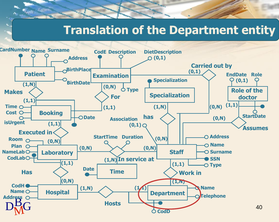#### **Translation of the Department entity**

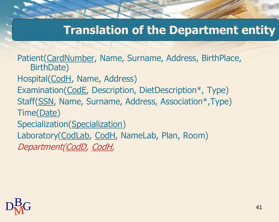### **Translation of the Department entity**

Patient(CardNumber, Name, Surname, Address, BirthPlace, BirthDate) Hospital(CodH, Name, Address) Examination(CodE, Description, DietDescription\*, Type) Staff(SSN, Name, Surname, Address, Association\*,Type) Time(Date) Specialization(Specialization) Laboratory(CodLab, CodH, NameLab, Plan, Room) Department(CodD, CodH,

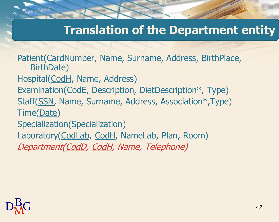### **Translation of the Department entity**

Patient(CardNumber, Name, Surname, Address, BirthPlace, BirthDate) Hospital(CodH, Name, Address) Examination(CodE, Description, DietDescription\*, Type) Staff(SSN, Name, Surname, Address, Association\*,Type) Time(Date) Specialization(Specialization) Laboratory(CodLab, CodH, NameLab, Plan, Room) Department(CodD, CodH, Name, Telephone)

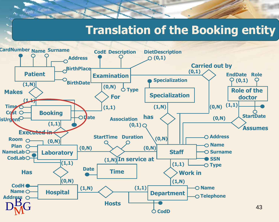#### **Translation of the Booking entity**

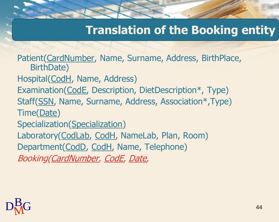#### **Translation of the Booking entity**

Patient(CardNumber, Name, Surname, Address, BirthPlace, BirthDate) Hospital(CodH, Name, Address) Examination(CodE, Description, DietDescription\*, Type) Staff(SSN, Name, Surname, Address, Association\*,Type) Time(Date) Specialization(Specialization) Laboratory(CodLab, CodH, NameLab, Plan, Room) Department(CodD, CodH, Name, Telephone) Booking(CardNumber, CodE, Date,

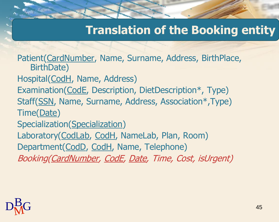#### **Translation of the Booking entity**

Patient(CardNumber, Name, Surname, Address, BirthPlace, BirthDate) Hospital(CodH, Name, Address) Examination(CodE, Description, DietDescription\*, Type) Staff(SSN, Name, Surname, Address, Association\*,Type) Time(Date) Specialization(Specialization) Laboratory(CodLab, CodH, NameLab, Plan, Room) Department(CodD, CodH, Name, Telephone) Booking(CardNumber, CodE, Date, Time, Cost, isUrgent)

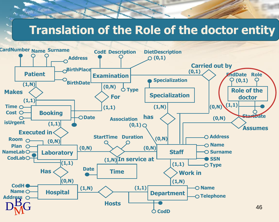# **Translation of the Role of the doctor entity**

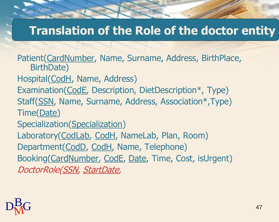## **Translation of the Role of the doctor entity**

Patient(CardNumber, Name, Surname, Address, BirthPlace, BirthDate) Hospital(CodH, Name, Address) Examination(CodE, Description, DietDescription\*, Type) Staff(SSN, Name, Surname, Address, Association\*,Type) Time(Date) Specialization(Specialization)

Laboratory(CodLab, CodH, NameLab, Plan, Room) Department(CodD, CodH, Name, Telephone) Booking(CardNumber, CodE, Date, Time, Cost, isUrgent) DoctorRole(SSN, StartDate,

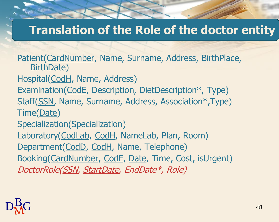#### **Translation of the Role of the doctor entity**

Patient(CardNumber, Name, Surname, Address, BirthPlace, BirthDate) Hospital(CodH, Name, Address) Examination(CodE, Description, DietDescription\*, Type) Staff(SSN, Name, Surname, Address, Association\*,Type) Time(Date) Specialization(Specialization) Laboratory(CodLab, CodH, NameLab, Plan, Room) Department(CodD, CodH, Name, Telephone) Booking(CardNumber, CodE, Date, Time, Cost, isUrgent) DoctorRole(SSN, StartDate, EndDate\*, Role)

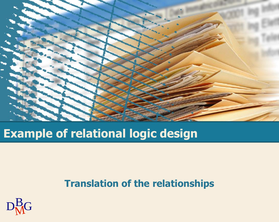

## **Example of relational logic design**

#### **Translation of the relationships**

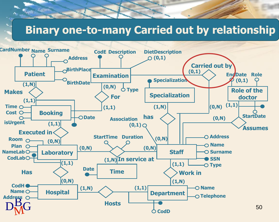#### **Binary one-to-many Carried out by relationship**

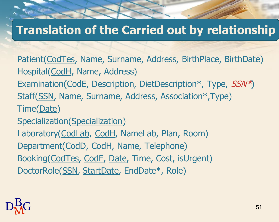## **Translation of the Carried out by relationship**

Patient(CodTes, Name, Surname, Address, BirthPlace, BirthDate) Hospital(CodH, Name, Address) Examination(CodE, Description, DietDescription\*, Type, SSN\*) Staff(SSN, Name, Surname, Address, Association\*,Type) Time(Date) Specialization(Specialization) Laboratory(CodLab, CodH, NameLab, Plan, Room) Department(CodD, CodH, Name, Telephone) Booking(CodTes, CodE, Date, Time, Cost, isUrgent) DoctorRole(SSN, StartDate, EndDate\*, Role)

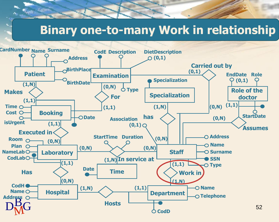#### **Binary one-to-many Work in relationship**

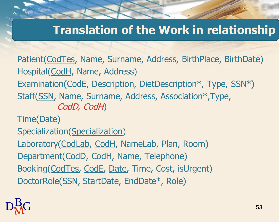## **Translation of the Work in relationship**

Patient(CodTes, Name, Surname, Address, BirthPlace, BirthDate) Hospital(CodH, Name, Address) Examination(CodE, Description, DietDescription\*, Type, SSN\*) Staff(SSN, Name, Surname, Address, Association\*,Type, CodD, CodH)

Time(Date)

Specialization(Specialization)

Laboratory(CodLab, CodH, NameLab, Plan, Room) Department(CodD, CodH, Name, Telephone) Booking(CodTes, CodE, Date, Time, Cost, isUrgent) DoctorRole(SSN, StartDate, EndDate\*, Role)

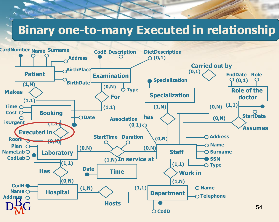#### **Binary one-to-many Executed in relationship**

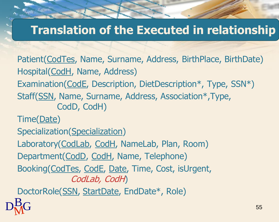## **Translation of the Executed in relationship**

Patient(CodTes, Name, Surname, Address, BirthPlace, BirthDate) Hospital(CodH, Name, Address) Examination(CodE, Description, DietDescription\*, Type, SSN\*) Staff(SSN, Name, Surname, Address, Association\*,Type, CodD, CodH) Time(Date) Specialization(Specialization) Laboratory(CodLab, CodH, NameLab, Plan, Room)

Department(CodD, CodH, Name, Telephone)

Booking(CodTes, CodE, Date, Time, Cost, isUrgent, CodLab, CodH)

DoctorRole(SSN, StartDate, EndDate\*, Role)

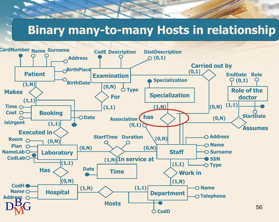### **Binary many-to-many Hosts in relationship**

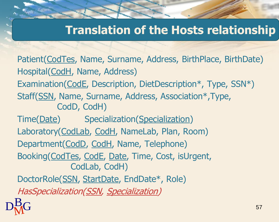## **Translation of the Hosts relationship**

 $D<sub>M</sub><sup>B</sup>G$  57 Patient(CodTes, Name, Surname, Address, BirthPlace, BirthDate) Hospital(CodH, Name, Address) Examination(CodE, Description, DietDescription\*, Type, SSN\*) Staff(SSN, Name, Surname, Address, Association\*,Type, CodD, CodH) Time(Date) Specialization(Specialization) Laboratory(CodLab, CodH, NameLab, Plan, Room) Department(CodD, CodH, Name, Telephone) Booking(CodTes, CodE, Date, Time, Cost, isUrgent, CodLab, CodH) DoctorRole(SSN, StartDate, EndDate\*, Role) HasSpecialization(SSN, Specialization)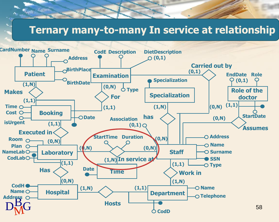#### **Ternary many-to-many In service at relationship**

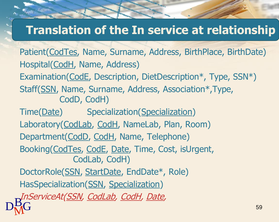## **Translation of the In service at relationship**

 $D_{\text{M}}^{\text{B}}$ G 59 59 Patient(CodTes, Name, Surname, Address, BirthPlace, BirthDate) Hospital(CodH, Name, Address) Examination(CodE, Description, DietDescription\*, Type, SSN\*) Staff(SSN, Name, Surname, Address, Association\*,Type, CodD, CodH) Time(Date) Specialization(Specialization) Laboratory(CodLab, CodH, NameLab, Plan, Room) Department(CodD, CodH, Name, Telephone) Booking(CodTes, CodE, Date, Time, Cost, isUrgent, CodLab, CodH) DoctorRole(SSN, StartDate, EndDate\*, Role) HasSpecialization(SSN, Specialization) InServiceAt(<u>SSN, CodLab, CodH</u>, <u>Date</u>,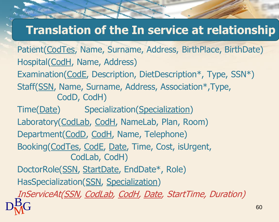# **Translation of the In service at relationship**

 $D_{\text{M}}^{\text{B}}$ G 60 Patient(CodTes, Name, Surname, Address, BirthPlace, BirthDate) Hospital(CodH, Name, Address) Examination(CodE, Description, DietDescription\*, Type, SSN\*) Staff(SSN, Name, Surname, Address, Association\*,Type, CodD, CodH) Time(Date) Specialization(Specialization) Laboratory(CodLab, CodH, NameLab, Plan, Room) Department(CodD, CodH, Name, Telephone) Booking(CodTes, CodE, Date, Time, Cost, isUrgent, CodLab, CodH) DoctorRole(SSN, StartDate, EndDate\*, Role) HasSpecialization(SSN, Specialization) InServiceAt(SSN, CodLab, CodH, Date, StartTime, Duration)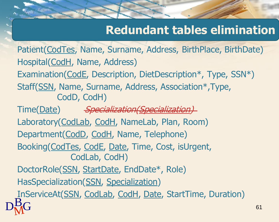# **Redundant tables elimination**

Patient(CodTes, Name, Surname, Address, BirthPlace, BirthDate) Hospital(CodH, Name, Address) Examination(CodE, Description, DietDescription\*, Type, SSN\*) Staff(SSN, Name, Surname, Address, Association\*,Type, CodD, CodH)

 $D_{\text{M}}^{\text{B}}$ G 61 Time(Date) Specialization(Specialization) Laboratory(CodLab, CodH, NameLab, Plan, Room) Department(CodD, CodH, Name, Telephone) Booking(CodTes, CodE, Date, Time, Cost, isUrgent, CodLab, CodH) DoctorRole(SSN, StartDate, EndDate\*, Role) HasSpecialization(SSN, Specialization) InServiceAt(SSN, CodLab, CodH, Date, StartTime, Duration)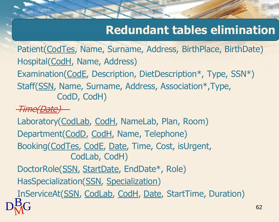# **Redundant tables elimination**

Patient(CodTes, Name, Surname, Address, BirthPlace, BirthDate) Hospital(CodH, Name, Address) Examination(CodE, Description, DietDescription\*, Type, SSN\*) Staff(SSN, Name, Surname, Address, Association\*,Type, CodD, CodH)

Time(Date)

Laboratory(CodLab, CodH, NameLab, Plan, Room)

Department(CodD, CodH, Name, Telephone)

Booking(CodTes, CodE, Date, Time, Cost, isUrgent, CodLab, CodH)

DoctorRole(SSN, StartDate, EndDate\*, Role)

HasSpecialization(SSN, Specialization)

 $D<sub>M</sub><sup>B</sup>G$  62 InServiceAt(SSN, CodLab, CodH, Date, StartTime, Duration)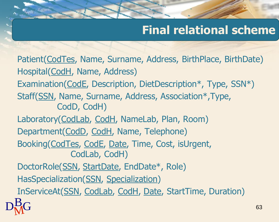# **Final relational scheme**

 $D_{\rm M}^{\rm B}$ G 63 Patient(CodTes, Name, Surname, Address, BirthPlace, BirthDate) Hospital(CodH, Name, Address) Examination(CodE, Description, DietDescription\*, Type, SSN\*) Staff(SSN, Name, Surname, Address, Association\*,Type, CodD, CodH) Laboratory(CodLab, CodH, NameLab, Plan, Room) Department(CodD, CodH, Name, Telephone) Booking(CodTes, CodE, Date, Time, Cost, isUrgent, CodLab, CodH) DoctorRole(SSN, StartDate, EndDate\*, Role) HasSpecialization(SSN, Specialization) InServiceAt(SSN, CodLab, CodH, Date, StartTime, Duration)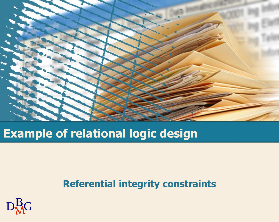

## **Example of relational logic design**

#### **Referential integrity constraints**

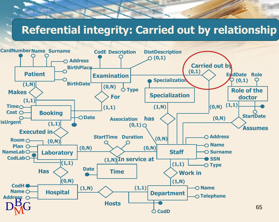#### **Referential integrity: Carried out by relationship**

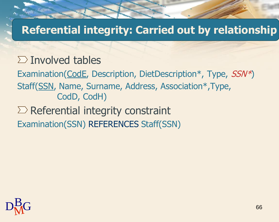#### **Referential integrity: Carried out by relationship**

#### $\sum$  Involved tables

Examination(CodE, Description, DietDescription\*, Type, SSN\*) Staff(SSN, Name, Surname, Address, Association\*,Type, CodD, CodH)

#### $\Sigma$  Referential integrity constraint Examination(SSN) REFERENCES Staff(SSN)

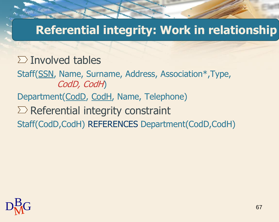### **Referential integrity: Work in relationship**

#### $\sum$  Involved tables

Staff(SSN, Name, Surname, Address, Association\*,Type, CodD, CodH) Department(CodD, CodH, Name, Telephone)  $\Sigma$  Referential integrity constraint

Staff(CodD,CodH) REFERENCES Department(CodD,CodH)

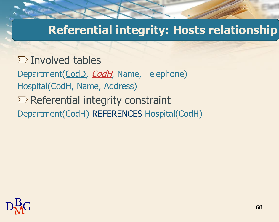### **Referential integrity: Hosts relationship**

 $\Sigma$  Involved tables Department(CodD, CodH, Name, Telephone) Hospital(CodH, Name, Address)  $\Sigma$  Referential integrity constraint Department(CodH) REFERENCES Hospital(CodH)

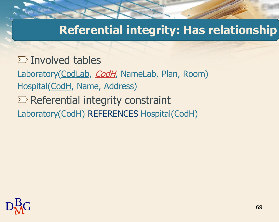## **Referential integrity: Has relationship**

 $\Sigma$  Involved tables Laboratory(CodLab, CodH, NameLab, Plan, Room) Hospital(CodH, Name, Address)  $\Sigma$  Referential integrity constraint Laboratory(CodH) REFERENCES Hospital(CodH)

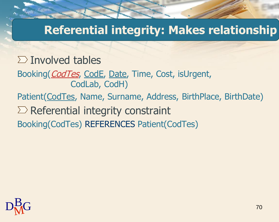## **Referential integrity: Makes relationship**

#### $\sum$  Involved tables

- Booking(*CodTes*, CodE, Date, Time, Cost, isUrgent, CodLab, CodH)
- Patient(CodTes, Name, Surname, Address, BirthPlace, BirthDate)
- $\Sigma$  Referential integrity constraint
- Booking(CodTes) REFERENCES Patient(CodTes)

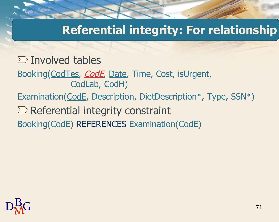## **Referential integrity: For relationship**

#### $\sum$  Involved tables

- Booking(CodTes, *CodE*, Date, Time, Cost, isUrgent, CodLab, CodH)
- Examination(CodE, Description, DietDescription\*, Type, SSN\*)
- $\Sigma$  Referential integrity constraint
- Booking(CodE) REFERENCES Examination(CodE)

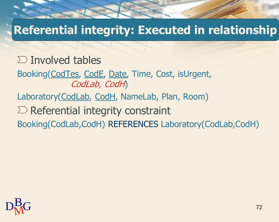# **Referential integrity: Executed in relationship**

 $\sum$  Involved tables Booking(CodTes, CodE, Date, Time, Cost, isUrgent, CodLab, CodH) Laboratory(CodLab, CodH, NameLab, Plan, Room)  $\Sigma$  Referential integrity constraint Booking(CodLab,CodH) REFERENCES Laboratory(CodLab,CodH)

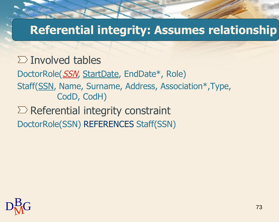# **Referential integrity: Assumes relationship**

 $\sum$  Involved tables DoctorRole(SSN, StartDate, EndDate\*, Role) Staff(SSN, Name, Surname, Address, Association\*,Type, CodD, CodH)  $\Sigma$  Referential integrity constraint

DoctorRole(SSN) REFERENCES Staff(SSN)

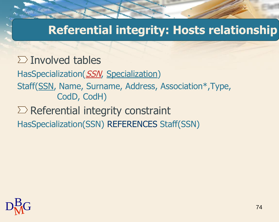# **Referential integrity: Hosts relationship**

 $\sum$  Involved tables HasSpecialization(SSN, Specialization) Staff(SSN, Name, Surname, Address, Association\*,Type, CodD, CodH)  $\Sigma$  Referential integrity constraint HasSpecialization(SSN) REFERENCES Staff(SSN)

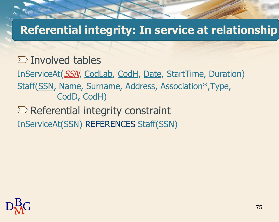# **Referential integrity: In service at relationship**

#### $\sum$  Involved tables

InServiceAt(SSN, CodLab, CodH, Date, StartTime, Duration) Staff(SSN, Name, Surname, Address, Association\*,Type, CodD, CodH)

### $\Sigma$  Referential integrity constraint InServiceAt(SSN) REFERENCES Staff(SSN)

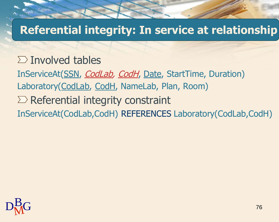### **Referential integrity: In service at relationship**

 $\sum$  Involved tables InServiceAt(SSN, CodLab, CodH, Date, StartTime, Duration) Laboratory(CodLab, CodH, NameLab, Plan, Room)  $\Sigma$  Referential integrity constraint InServiceAt(CodLab,CodH) REFERENCES Laboratory(CodLab,CodH)